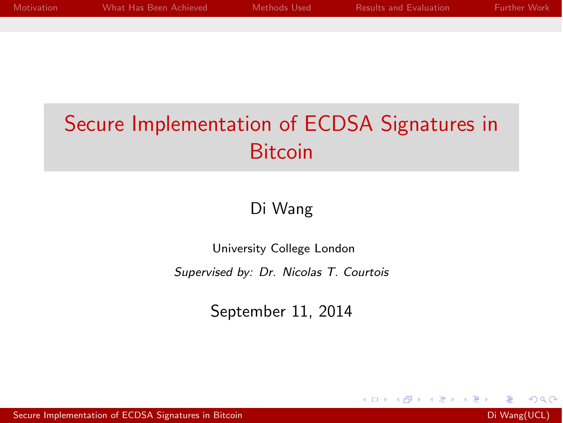<span id="page-0-0"></span>

| <b>Motivation</b> | What Has Been Achieved | Methods Used | <b>Results and Evaluation</b> | <b>Eurther Work</b> |
|-------------------|------------------------|--------------|-------------------------------|---------------------|
|                   |                        |              |                               |                     |
|                   |                        |              |                               |                     |

# Secure Implementation of ECDSA Signatures in **Bitcoin**

#### Di Wang

University College London

*Supervised by: Dr. Nicolas T. Courtois*

September 11, 2014

 $\sim$   $\sim$ 

 $200$ 

[Secure Implementation of ECDSA Signatures in Bitcoin](#page-16-0) Diversion Diversion Diversity Diversity Diversity Diversity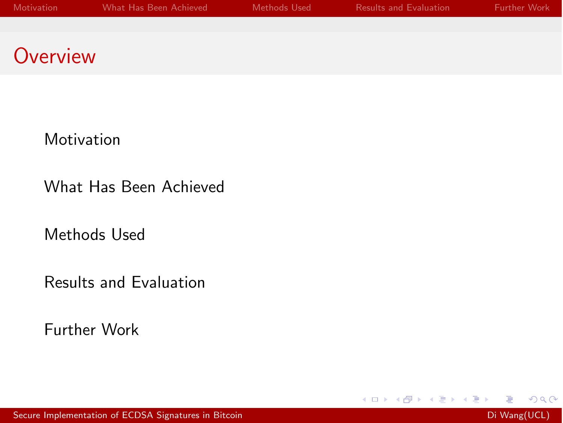[Motivation](#page-2-0)

[What Has Been Achieved](#page-3-0)

[Methods Used](#page-4-0)

[Results and Evaluation](#page-12-0)

[Further Work](#page-14-0)

メロト メ団 トメ 君 トメ 君 ト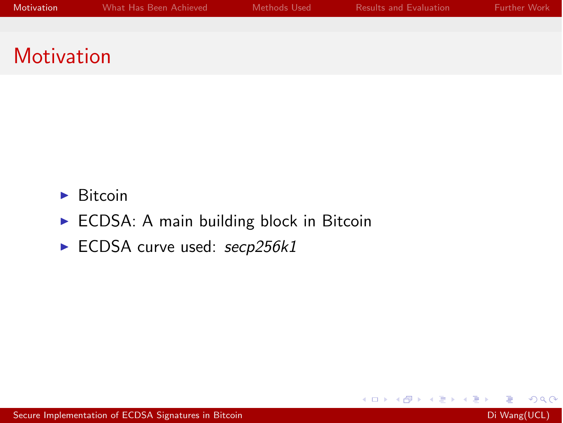- <span id="page-2-0"></span> $\blacktriangleright$  Bitcoin
- $\triangleright$  ECDSA: A main building block in Bitcoin
- ► ECDSA curve used: secp256k1

メロト メ団 トメ 君 トメ 君 ト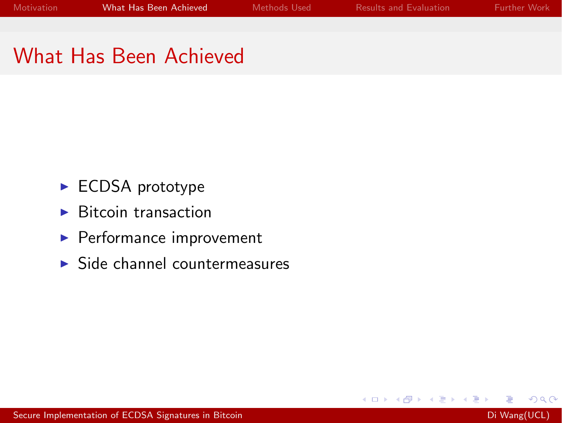4 0 8

a

# <span id="page-3-0"></span>What Has Been Achieved

- $\blacktriangleright$  ECDSA prototype
- $\blacktriangleright$  Bitcoin transaction
- $\blacktriangleright$  Performance improvement
- $\triangleright$  Side channel countermeasures

Э×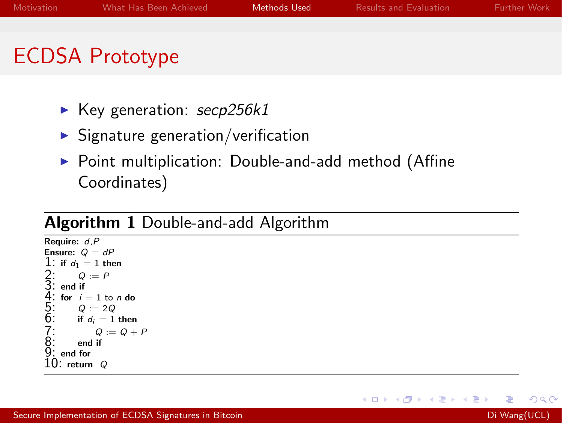# <span id="page-4-0"></span>ECDSA Prototype

- ► Key generation: *secp256k1*
- $\blacktriangleright$  Signature generation/verification
- $\triangleright$  Point multiplication: Double-and-add method (Affine Coordinates)

#### Algorithm 1 Double-and-add Algorithm

```
Require: d,P
Ensure: Q = dP1: if d_1 = 1 then<br>2: Q := P2: Q := P
3: end if
    for i = 1 to n do<br>Q := 2Q5: Q := 2Q<br>6: if d_i = 1 then
          Q := Q + P<br>end if
8: end if
9: end for
10: return Q
```
 $\Omega$ 

ヨト

**K ロ ▶ K 伊 ▶ K**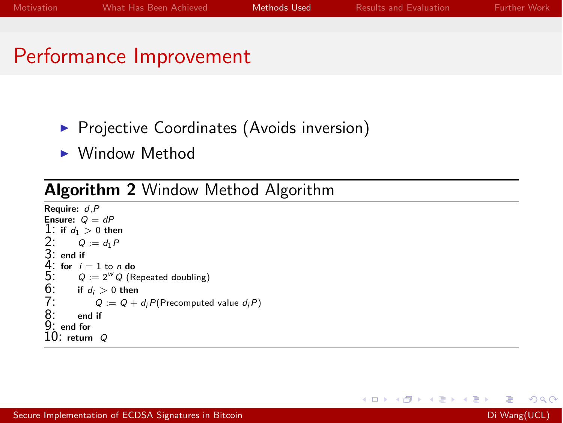# Performance Improvement

- **Projective Coordinates (Avoids inversion)**
- $\blacktriangleright$  Window Method

#### Algorithm 2 Window Method Algorithm

```
Require: d,P
Ensure: Q = dP1: if d_1 > 0 then
2: Q := d_1 P<br>3: end if<br>4: for i = 1 to n do
5: Q := 2^W Q (Repeated doubling)<br>6: if d_i > 0 then
6: if d_i > 0 then<br>7: Q := Q +7: Q := Q + d_i P(Precomputed value d_i P)<br>8: end if<br>9: end for
          end if
    end for
10: return Q
```
 $\Omega$ 

メロト メ団 トメ 君 トメ 君 ト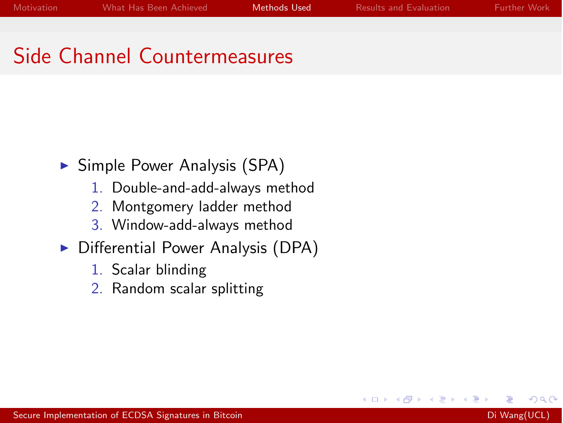∢⊡

# Side Channel Countermeasures

- $\triangleright$  Simple Power Analysis (SPA)
	- 1. Double-and-add-always method
	- 2. Montgomery ladder method
	- 3. Window-add-always method
- $\triangleright$  Differential Power Analysis (DPA)
	- 1. Scalar blinding
	- 2. Random scalar splitting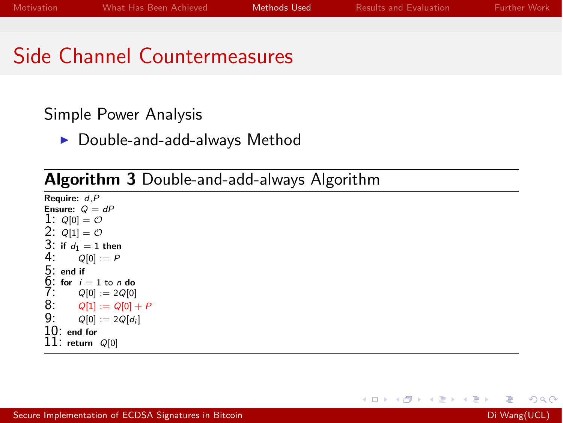# Side Channel Countermeasures

#### Simple Power Analysis

 $\blacktriangleright$  Double-and-add-always Method

#### Algorithm 3 Double-and-add-always Algorithm

Require: *d*,*P* Ensure:  $Q = dP$ 1:  $Q[0] = O$ 2:  $Q[1] = O$ 3: if  $d_1 = 1$  then<br>4:  $Q[0] := P$ 4:  $Q[0] := P$ <br>5: end if<br>6: for  $i = 1$  to *n*<br>7:  $Q[0] := 20$ 5: end if for  $i = 1$  to *n* do 7:  $Q[0] := 2Q[0]$ <br>8:  $Q[1] := Q[0]$ 8:  $Q[1] := Q[0] + P$ <br>9:  $Q[0] := 2Q[d_i]$  $Q[0] := 2Q[d_i]$ 10: end for 11: return *<sup>Q</sup>*[0]

 $\Omega$ 

メロメ メ母メ メミメ メミメ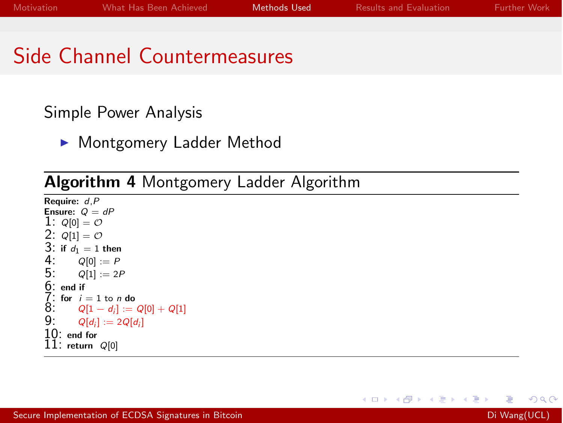**K ロ ▶ | K 伊 ▶ | K 手** 

# Side Channel Countermeasures

#### Simple Power Analysis

• Montgomery Ladder Method

### Algorithm 4 Montgomery Ladder Algorithm

Require: *d*,*P* Ensure:  $Q = dP$ 1:  $Q[0] = O$ 2:  $Q[1] = O$ 3: if  $d_1 = 1$  then<br>4:  $Q[0] := P$ 4: *<sup>Q</sup>*[0] := *<sup>P</sup>*  $Q[1] := 2P$ 6: end if 7: for *<sup>i</sup>* = 1 to *<sup>n</sup>* do 8:  $Q[1 - d_i] := Q[0] + Q[1]$ <br>9:  $Q[d_i] := 2Q[d_i]$  $Q[d_i] := 2Q[d_i]$ 10: end for 11: return *<sup>Q</sup>*[0]

 $\Omega$ 

一 (三) ト

 $\sim$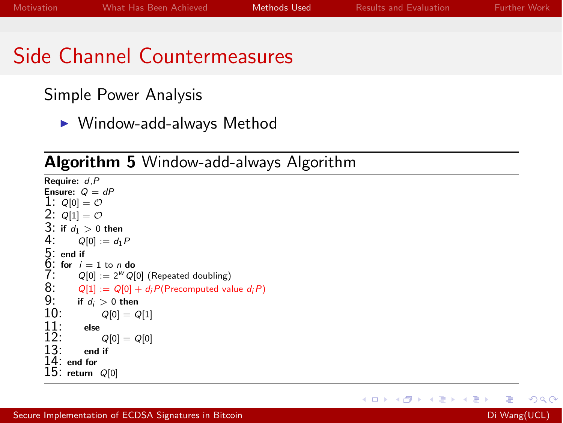# Side Channel Countermeasures

Simple Power Analysis

 $\blacktriangleright$  Window-add-always Method

### Algorithm 5 Window-add-always Algorithm

```
Require: d,P
Ensure: Q = dP1: Q[0] = O2: Q[1] = O3: if d_1 > 0 then<br>4: Q[0] := d_14: Q[0] := d_1 P<br>5: end if<br>6: for i = 1 to n de<br>7: Q[0] := 2^W Q5: end if
    for i = 1 to n do
7: Q[0] := 2^W Q[0] (Repeated doubling)<br>8: Q[1] := Q[0] + d_i P(\text{Precomputed val})8: Q[1] := Q[0] + d_i P(\text{Precomputed value } d_i P)<br>9: if d_i > 0 then
9: if d_i > 0 then 10: Q[0] = QQ[0] = Q[1]\frac{11}{12}: else
12: Q[0] = Q[0]
             end if
14: end for
15: return Q[0]
```
メロメ メ母メ メミメ メミメ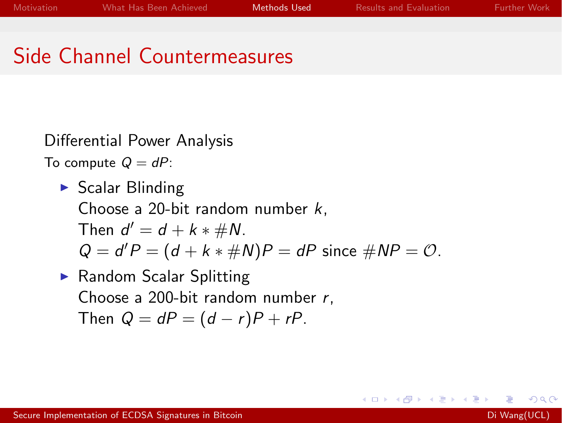# Side Channel Countermeasures

Differential Power Analysis

To compute  $Q = dP$ :

- $\triangleright$  Scalar Blinding Choose a 20-bit random number *k*, Then  $d' = d + k * \# N$ .  $Q = d'P = (d + k * \#N)P = dP$  since  $\#NP = O$ .
- $\blacktriangleright$  Random Scalar Splitting Choose a 200-bit random number *r*, Then  $Q = dP = (d - r)P + rP$ .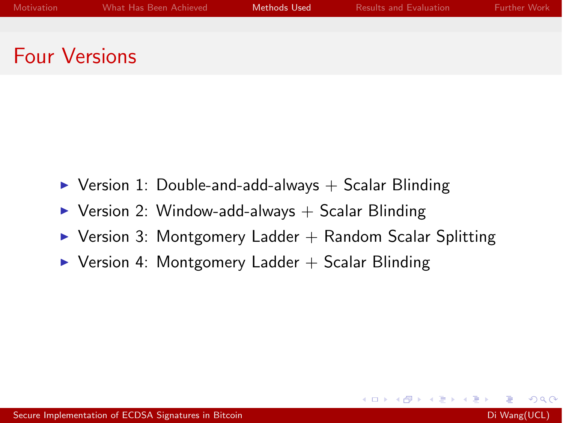Four Versions

- $\triangleright$  Version 1: Double-and-add-always  $+$  Scalar Blinding
- $\triangleright$  Version 2: Window-add-always + Scalar Blinding
- $\triangleright$  Version 3: Montgomery Ladder  $+$  Random Scalar Splitting

 $\leftarrow$ 

 $\triangleright$  Version 4: Montgomery Ladder  $+$  Scalar Blinding

 $\Omega$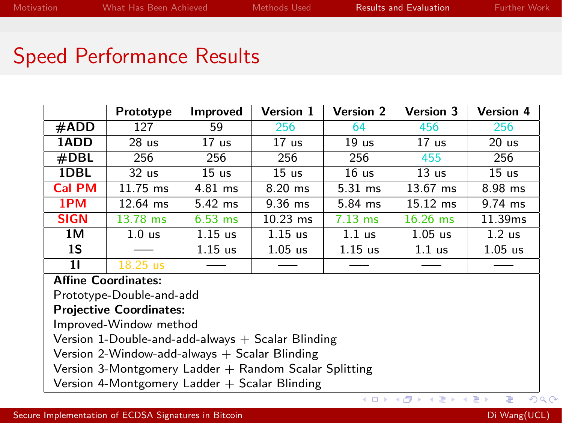**K ロ ト K 何 ト K ヨ ト** 

# <span id="page-12-0"></span>Speed Performance Results

|                         | Prototype              | Improved         | Version 1        | <b>Version 2</b> | <b>Version 3</b>     | <b>Version 4</b>  |
|-------------------------|------------------------|------------------|------------------|------------------|----------------------|-------------------|
| #ADD                    | 127                    | 59               | 256              | 64               | 456                  | 256               |
| 1ADD                    | 28 <sub>us</sub>       | 17 <sub>us</sub> | 17 <sub>us</sub> | 19 <sub>us</sub> | 17 <sub>us</sub>     | 20 <sub>us</sub>  |
| #DBL                    | 256                    | 256              | 256              | 256              | 455                  | 256               |
| 1DBL                    | 32 <sub>us</sub>       | 15 <sub>us</sub> | 15 <sub>us</sub> | 16 <sub>us</sub> | 13 <sub>us</sub>     | 15 <sub>us</sub>  |
| <b>Cal PM</b>           | 11.75 ms               | $4.81$ ms        | $8.20$ ms        | $5.31$ ms        | 13.67 ms             | 8.98 ms           |
| 1PM                     | $12.64$ ms             | $5.42$ ms        | $9.36$ ms        | 5.84 ms          | $15.12 \, \text{ms}$ | $9.74$ ms         |
| <b>SIGN</b>             | 13.78 ms               | $6.53$ ms        | $10.23$ ms       | $7.13$ ms        | $16.26$ ms           | 11.39ms           |
| 1M                      | 1.0 <sub>us</sub>      | $1.15$ us        | $1.15$ us        | $1.1$ us         | $1.05$ us            | 1.2 <sub>us</sub> |
| 1S                      |                        | $1.15$ us        | $1.05$ us        | $1.15$ us        | $1.1$ us             | $1.05$ us         |
| 11<br><b>A CC+</b><br>- | $18.25$ us<br>$\cdots$ |                  |                  |                  |                      |                   |

#### Affine Coordinates:

Prototype-Double-and-add

#### Projective Coordinates:

Improved-Window method

Version 1-Double-and-add-always  $+$  Scalar Blinding

Version 2-Window-add-always  $+$  Scalar Blinding

Version 3-Montgomery Ladder  $+$  Random Scalar Splitting

Version 4-Montgomery Ladder  $+$  Scalar Blinding

 $299$ 

 $\leftarrow \equiv$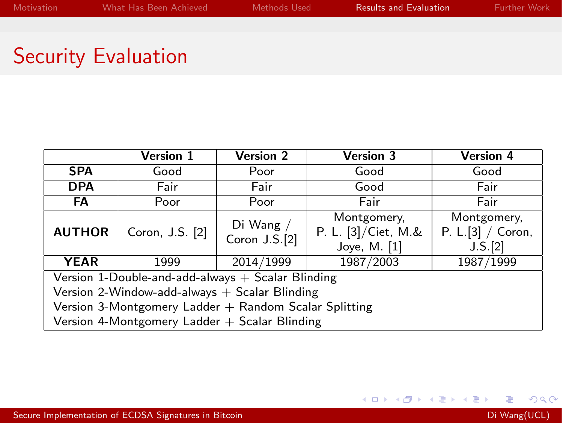# Security Evaluation

|                                                         | Version 1       | <b>Version 2</b>             | <b>Version 3</b>                                   | <b>Version 4</b>                            |  |  |
|---------------------------------------------------------|-----------------|------------------------------|----------------------------------------------------|---------------------------------------------|--|--|
| <b>SPA</b>                                              | Good            | Poor                         | Good                                               | Good                                        |  |  |
| <b>DPA</b>                                              | Fair            | Fair                         | Good                                               | Fair                                        |  |  |
| FA                                                      | Poor            | Poor                         | Fair                                               | Fair                                        |  |  |
| <b>AUTHOR</b>                                           | Coron, J.S. [2] | Di Wang $/$<br>Coron J.S.[2] | Montgomery,<br>P. L. [3]/Ciet, M.&<br>Joye, M. [1] | Montgomery,<br>P. L.[3] / Coron,<br>J.S.[2] |  |  |
| <b>YEAR</b>                                             | 1999            | 2014/1999                    | 1987/2003                                          | 1987/1999                                   |  |  |
| Version 1-Double-and-add-always $+$ Scalar Blinding     |                 |                              |                                                    |                                             |  |  |
| Version 2-Window-add-always $+$ Scalar Blinding         |                 |                              |                                                    |                                             |  |  |
| Version 3-Montgomery Ladder $+$ Random Scalar Splitting |                 |                              |                                                    |                                             |  |  |
| Version 4-Montgomery Ladder + Scalar Blinding           |                 |                              |                                                    |                                             |  |  |

 $299$ 

イロト イ部 トメ 君 トメ 君 ト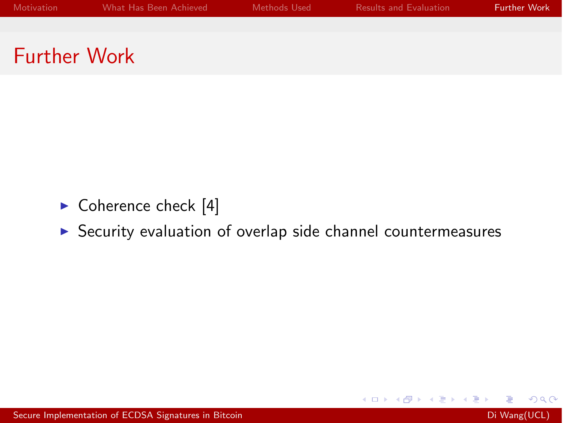- <span id="page-14-0"></span> $\triangleright$  Coherence check [\[4\]](#page-15-3)
- $\triangleright$  Security evaluation of overlap side channel countermeasures

**◆ ロ ▶ → 何** 

4. 重

**Section** 

D.

- 세포 >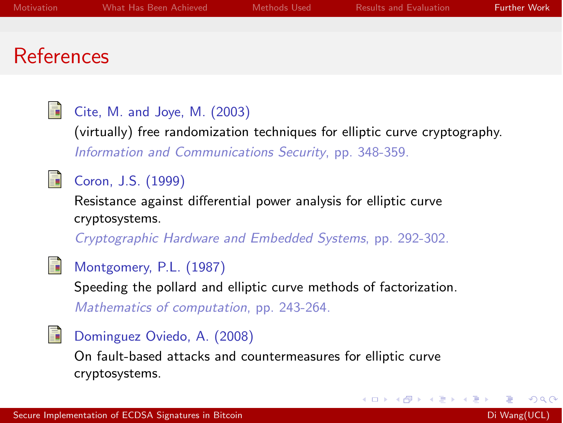### References

<span id="page-15-2"></span>譶

<span id="page-15-0"></span>螶

#### Cite, M. and Joye, M. (2003)

(virtually) free randomization techniques for elliptic curve cryptography. *Information and Communications Security*, pp. 348-359.

#### Coron, J.S. (1999)

Resistance against differential power analysis for elliptic curve cryptosystems.

*Cryptographic Hardware and Embedded Systems*, pp. 292-302.

<span id="page-15-1"></span>

<span id="page-15-3"></span>螶

#### Montgomery, P.L. (1987)

Speeding the pollard and elliptic curve methods of factorization.

*Mathematics of computation*, pp. 243-264.

#### Dominguez Oviedo, A. (2008)

On fault-based attacks and countermeasures for elliptic curve cryptosystems.

4 0 3